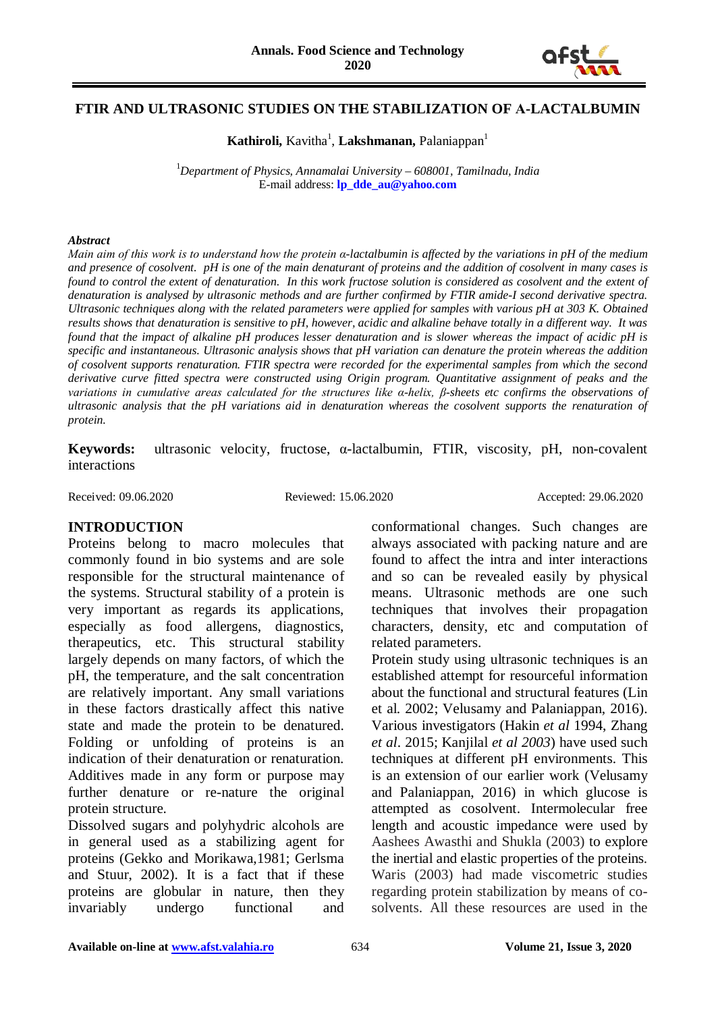

#### **FTIR AND ULTRASONIC STUDIES ON THE STABILIZATION OF Α-LACTALBUMIN**

Kathiroli, Kavitha<sup>1</sup>, Lakshmanan, Palaniappan<sup>1</sup>

1 *Department of Physics, Annamalai University – 608001, Tamilnadu, India* E-mail address: **[lp\\_dde\\_au@yahoo.com](mailto:lp_dde_au@yahoo.com)**

#### *Abstract*

*Main aim of this work is to understand how the protein α-lactalbumin is affected by the variations in pH of the medium and presence of cosolvent. pH is one of the main denaturant of proteins and the addition of cosolvent in many cases is found to control the extent of denaturation. In this work fructose solution is considered as cosolvent and the extent of denaturation is analysed by ultrasonic methods and are further confirmed by FTIR amide-I second derivative spectra. Ultrasonic techniques along with the related parameters were applied for samples with various pH at 303 K. Obtained results shows that denaturation is sensitive to pH, however, acidic and alkaline behave totally in a different way. It was found that the impact of alkaline pH produces lesser denaturation and is slower whereas the impact of acidic pH is specific and instantaneous. Ultrasonic analysis shows that pH variation can denature the protein whereas the addition of cosolvent supports renaturation. FTIR spectra were recorded for the experimental samples from which the second derivative curve fitted spectra were constructed using Origin program. Quantitative assignment of peaks and the variations in cumulative areas calculated for the structures like α-helix, β-sheets etc confirms the observations of ultrasonic analysis that the pH variations aid in denaturation whereas the cosolvent supports the renaturation of protein.*

**Keywords:** ultrasonic velocity, fructose, α-lactalbumin, FTIR, viscosity, pH, non-covalent interactions

Received: 09.06.2020 Reviewed: 15.06.2020 Accepted: 29.06.2020

#### **INTRODUCTION**

Proteins belong to macro molecules that commonly found in bio systems and are sole responsible for the structural maintenance of the systems. Structural stability of a protein is very important as regards its applications, especially as food allergens, diagnostics, therapeutics, etc. This structural stability largely depends on many factors, of which the pH, the temperature, and the salt concentration are relatively important. Any small variations in these factors drastically affect this native state and made the protein to be denatured. Folding or unfolding of proteins is an indication of their denaturation or renaturation. Additives made in any form or purpose may further denature or re-nature the original protein structure.

Dissolved sugars and polyhydric alcohols are in general used as a stabilizing agent for proteins (Gekko and Morikawa,1981; Gerlsma and Stuur, 2002). It is a fact that if these proteins are globular in nature, then they invariably undergo functional and conformational changes. Such changes are always associated with packing nature and are found to affect the intra and inter interactions and so can be revealed easily by physical means. Ultrasonic methods are one such techniques that involves their propagation characters, density, etc and computation of related parameters.

Protein study using ultrasonic techniques is an established attempt for resourceful information about the functional and structural features (Lin et al. 2002; Velusamy and Palaniappan, 2016). Various investigators (Hakin *et al* 1994, Zhang *et al*. 2015; Kanjilal *et al 2003*) have used such techniques at different pH environments. This is an extension of our earlier work (Velusamy and Palaniappan, 2016) in which glucose is attempted as cosolvent. Intermolecular free length and acoustic impedance were used by Aashees Awasthi and Shukla (2003) to explore the inertial and elastic properties of the proteins. Waris (2003) had made viscometric studies regarding protein stabilization by means of cosolvents. All these resources are used in the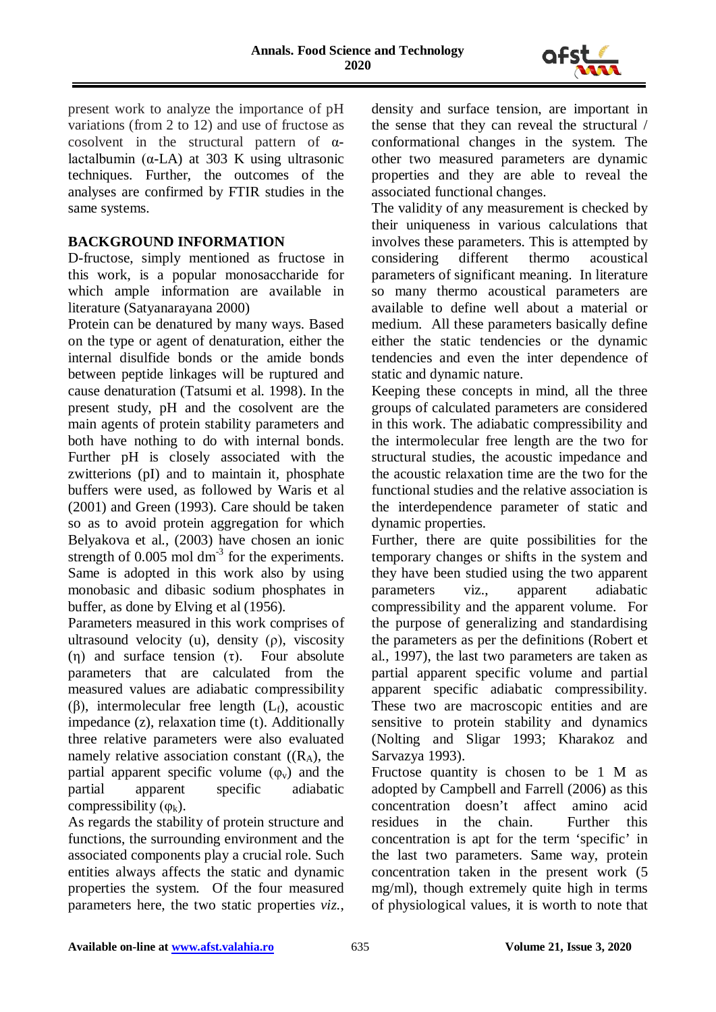

present work to analyze the importance of pH variations (from 2 to 12) and use of fructose as cosolvent in the structural pattern of αlactalbumin (α-LA) at 303 K using ultrasonic techniques. Further, the outcomes of the analyses are confirmed by FTIR studies in the same systems.

## **BACKGROUND INFORMATION**

D-fructose, simply mentioned as fructose in this work, is a popular monosaccharide for which ample information are available in literature (Satyanarayana 2000)

Protein can be denatured by many ways. Based on the type or agent of denaturation, either the internal disulfide bonds or the amide bonds between peptide linkages will be ruptured and cause denaturation (Tatsumi et al. 1998). In the present study, pH and the cosolvent are the main agents of protein stability parameters and both have nothing to do with internal bonds. Further pH is closely associated with the zwitterions (pI) and to maintain it, phosphate buffers were used, as followed by Waris et al (2001) and Green (1993). Care should be taken so as to avoid protein aggregation for which Belyakova et al., (2003) have chosen an ionic strength of  $0.005$  mol dm<sup>-3</sup> for the experiments. Same is adopted in this work also by using monobasic and dibasic sodium phosphates in buffer, as done by Elving et al (1956).

Parameters measured in this work comprises of ultrasound velocity (u), density ( $\rho$ ), viscosity (η) and surface tension  $(\tau)$ . Four absolute parameters that are calculated from the measured values are adiabatic compressibility (β), intermolecular free length  $(L_f)$ , acoustic impedance (z), relaxation time (t). Additionally three relative parameters were also evaluated namely relative association constant  $((R_A))$ , the partial apparent specific volume  $(\varphi_{v})$  and the partial apparent specific adiabatic compressibility  $(\varphi_k)$ .

As regards the stability of protein structure and functions, the surrounding environment and the associated components play a crucial role. Such entities always affects the static and dynamic properties the system. Of the four measured parameters here, the two static properties *viz.*,

density and surface tension, are important in the sense that they can reveal the structural / conformational changes in the system. The other two measured parameters are dynamic properties and they are able to reveal the associated functional changes.

The validity of any measurement is checked by their uniqueness in various calculations that involves these parameters. This is attempted by considering different thermo acoustical parameters of significant meaning. In literature so many thermo acoustical parameters are available to define well about a material or medium. All these parameters basically define either the static tendencies or the dynamic tendencies and even the inter dependence of static and dynamic nature.

Keeping these concepts in mind, all the three groups of calculated parameters are considered in this work. The adiabatic compressibility and the intermolecular free length are the two for structural studies, the acoustic impedance and the acoustic relaxation time are the two for the functional studies and the relative association is the interdependence parameter of static and dynamic properties.

Further, there are quite possibilities for the temporary changes or shifts in the system and they have been studied using the two apparent parameters viz., apparent adiabatic compressibility and the apparent volume. For the purpose of generalizing and standardising the parameters as per the definitions (Robert et al., 1997), the last two parameters are taken as partial apparent specific volume and partial apparent specific adiabatic compressibility. These two are macroscopic entities and are sensitive to protein stability and dynamics (Nolting and Sligar 1993; Kharakoz and Sarvazya 1993).

Fructose quantity is chosen to be 1 M as adopted by Campbell and Farrell (2006) as this concentration doesn't affect amino acid residues in the chain. Further this concentration is apt for the term 'specific' in the last two parameters. Same way, protein concentration taken in the present work (5 mg/ml), though extremely quite high in terms of physiological values, it is worth to note that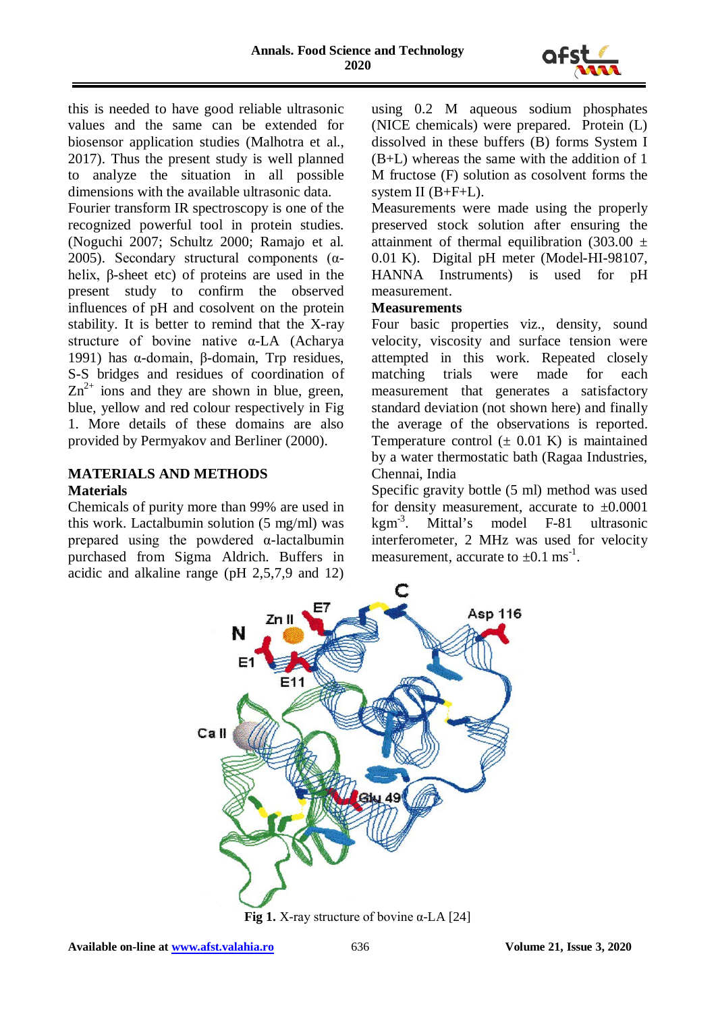

this is needed to have good reliable ultrasonic values and the same can be extended for biosensor application studies (Malhotra et al., 2017). Thus the present study is well planned to analyze the situation in all possible dimensions with the available ultrasonic data.

Fourier transform IR spectroscopy is one of the recognized powerful tool in protein studies. (Noguchi 2007; Schultz 2000; Ramajo et al. 2005). Secondary structural components (αhelix, β-sheet etc) of proteins are used in the present study to confirm the observed influences of pH and cosolvent on the protein stability. It is better to remind that the X-ray structure of bovine native α-LA (Acharya 1991) has α-domain, β-domain, Trp residues, S-S bridges and residues of coordination of  $Zn^{2+}$  ions and they are shown in blue, green, blue, yellow and red colour respectively in Fig 1. More details of these domains are also provided by Permyakov and Berliner (2000).

## **MATERIALS AND METHODS Materials**

Chemicals of purity more than 99% are used in this work. Lactalbumin solution (5 mg/ml) was prepared using the powdered α-lactalbumin purchased from Sigma Aldrich. Buffers in acidic and alkaline range (pH 2,5,7,9 and 12)

using 0.2 M aqueous sodium phosphates (NICE chemicals) were prepared. Protein (L) dissolved in these buffers (B) forms System I (B+L) whereas the same with the addition of 1 M fructose (F) solution as cosolvent forms the system II (B+F+L).

Measurements were made using the properly preserved stock solution after ensuring the attainment of thermal equilibration (303.00  $\pm$ 0.01 K). Digital pH meter (Model-HI-98107, HANNA Instruments) is used for pH measurement.

#### **Measurements**

Four basic properties viz., density, sound velocity, viscosity and surface tension were attempted in this work. Repeated closely matching trials were made for each measurement that generates a satisfactory standard deviation (not shown here) and finally the average of the observations is reported. Temperature control  $(\pm 0.01 \text{ K})$  is maintained by a water thermostatic bath (Ragaa Industries, Chennai, India

Specific gravity bottle (5 ml) method was used for density measurement, accurate to  $\pm 0.0001$ kgm-3 . Mittal's model F-81 ultrasonic interferometer, 2 MHz was used for velocity measurement, accurate to  $\pm 0.1$  ms<sup>-1</sup>.



**Fig 1.** X-ray structure of bovine  $\alpha$ -LA [24]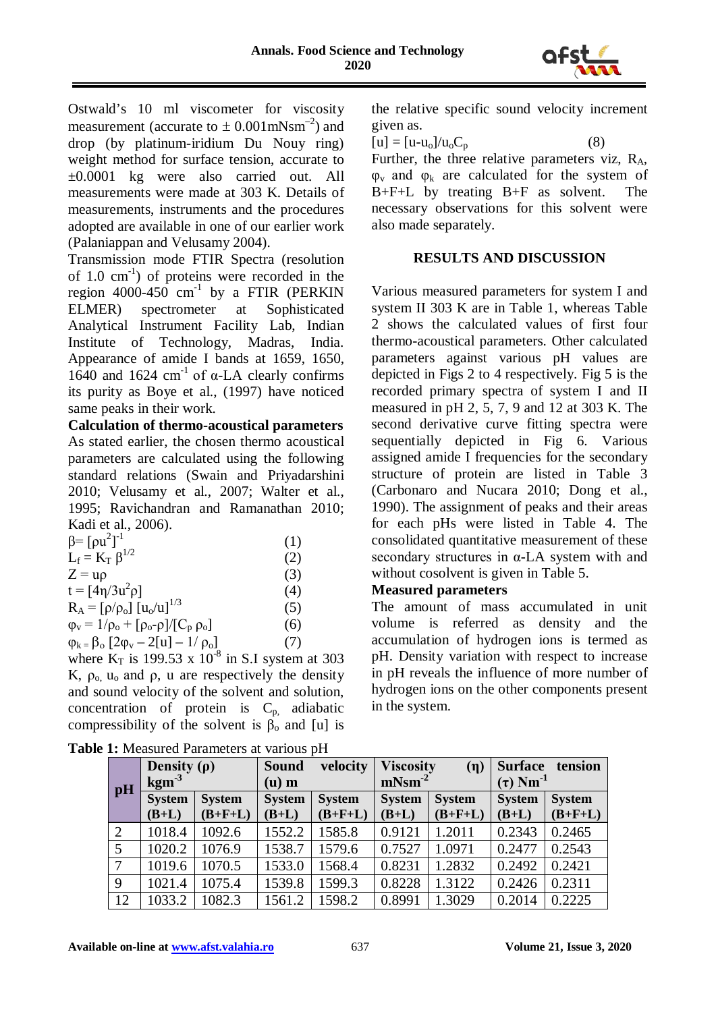

Ostwald's 10 ml viscometer for viscosity measurement (accurate to  $\pm$  0.001 mNsm<sup>-2</sup>) and drop (by platinum-iridium Du Nouy ring) weight method for surface tension, accurate to ±0.0001 kg were also carried out. All measurements were made at 303 K. Details of measurements, instruments and the procedures adopted are available in one of our earlier work (Palaniappan and Velusamy 2004).

Transmission mode FTIR Spectra (resolution of 1.0 cm-1 ) of proteins were recorded in the region  $4000-450$  cm<sup>-1</sup> by a FTIR (PERKIN ELMER) spectrometer at Sophisticated Analytical Instrument Facility Lab, Indian Institute of Technology, Madras, India. Appearance of amide I bands at 1659, 1650,  $1640$  and  $1624$  cm<sup>-1</sup> of α-LA clearly confirms its purity as Boye et al., (1997) have noticed same peaks in their work.

**Calculation of thermo-acoustical parameters** As stated earlier, the chosen thermo acoustical parameters are calculated using the following standard relations (Swain and Priyadarshini 2010; Velusamy et al., 2007; Walter et al., 1995; Ravichandran and Ramanathan 2010; Kadi et al., 2006).

| $β = [ρu2]-1$                                                   | (1) |
|-----------------------------------------------------------------|-----|
| $L_f = K_T \beta^{1/2}$                                         | (2) |
| $Z = \mathbf{u}\rho$                                            | (3) |
| $t = [4\eta/3u^2\rho]$                                          | (4) |
| $R_A = [\rho/\rho_0] [u_0/u]^{1/3}$                             | (5) |
| $\varphi_{v} = 1/\rho_{o} + [\rho_{o} - \rho]/[C_{p} \rho_{o}]$ | (6) |
| $\varphi_{k} = \beta_{o} [2\varphi_{v} - 2[u] - 1/\rho_{o}]$    | (7) |
| where $K_T$ is 199.53 x 10 <sup>-8</sup> in S.I system at 303   |     |

K,  $\rho_0$ ,  $u_0$  and  $\rho$ , u are respectively the density and sound velocity of the solvent and solution, concentration of protein is  $C_{p}$ , adiabatic compressibility of the solvent is  $\beta_0$  and [u] is

|            | Density $(\rho)$ |               | <b>Sound</b>  | velocity      | <b>Viscosity</b> | (n)           | <b>Surface</b>            | tension       |  |  |  |  |  |
|------------|------------------|---------------|---------------|---------------|------------------|---------------|---------------------------|---------------|--|--|--|--|--|
| pH         | $\mathrm{kgm}^3$ |               | $(u)$ m       |               | $mNsm-2$         |               | $(\tau)$ Nm <sup>-1</sup> |               |  |  |  |  |  |
|            | <b>System</b>    | <b>System</b> | <b>System</b> | <b>System</b> | <b>System</b>    | <b>System</b> | <b>System</b>             | <b>System</b> |  |  |  |  |  |
|            | $(B+L)$          | $(B+F+L)$     | $(B+L)$       | $(B+F+L)$     | $(B+L)$          | $(B+F+L)$     | $(B+L)$                   | $(B+F+L)$     |  |  |  |  |  |
| $\sqrt{2}$ | 1018.4           | 1092.6        | 1552.2        | 1585.8        | 0.9121           | 1.2011        | 0.2343                    | 0.2465        |  |  |  |  |  |
|            | 1020.2           | 1076.9        | 1538.7        | 1579.6        | 0.7527           | 1.0971        | 0.2477                    | 0.2543        |  |  |  |  |  |
|            | 1019.6           | 1070.5        | 1533.0        | 1568.4        | 0.8231           | 1.2832        | 0.2492                    | 0.2421        |  |  |  |  |  |
| 9          | 1021.4           | 1075.4        | 1539.8        | 1599.3        | 0.8228           | 1.3122        | 0.2426                    | 0.2311        |  |  |  |  |  |

**Table 1:** Measured Parameters at various pH

the relative specific sound velocity increment given as.

 $[u] = [u-u_0]/u_0C_p$  (8)

Further, the three relative parameters viz,  $R_A$ ,  $\varphi$ <sub>v</sub> and  $\varphi$ <sub>k</sub> are calculated for the system of B+F+L by treating B+F as solvent. The necessary observations for this solvent were also made separately.

# **RESULTS AND DISCUSSION**

Various measured parameters for system I and system II 303 K are in Table 1, whereas Table 2 shows the calculated values of first four thermo-acoustical parameters. Other calculated parameters against various pH values are depicted in Figs 2 to 4 respectively. Fig 5 is the recorded primary spectra of system I and II measured in pH 2, 5, 7, 9 and 12 at 303 K. The second derivative curve fitting spectra were sequentially depicted in Fig 6. Various assigned amide I frequencies for the secondary structure of protein are listed in Table 3 (Carbonaro and Nucara 2010; Dong et al., 1990). The assignment of peaks and their areas for each pHs were listed in Table 4. The consolidated quantitative measurement of these secondary structures in α-LA system with and without cosolvent is given in Table 5.

# **Measured parameters**

The amount of mass accumulated in unit volume is referred as density and the accumulation of hydrogen ions is termed as pH. Density variation with respect to increase in pH reveals the influence of more number of hydrogen ions on the other components present in the system.

12 1033.2 1082.3 1561.2 1598.2 0.8991 1.3029 0.2014 0.2225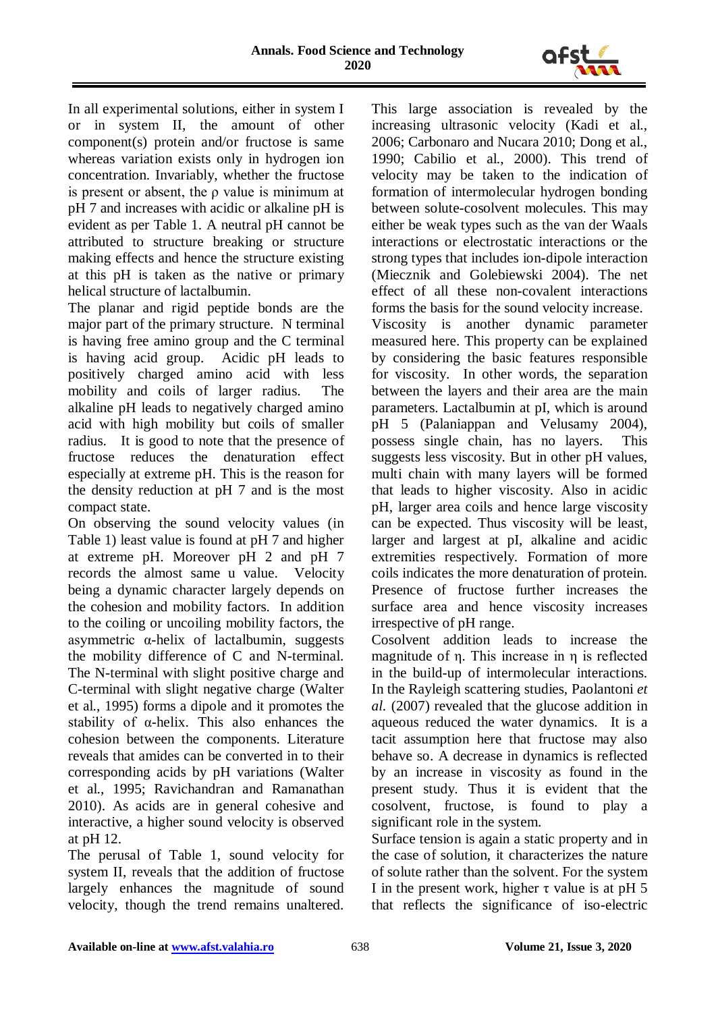

In all experimental solutions, either in system I or in system II, the amount of other component(s) protein and/or fructose is same whereas variation exists only in hydrogen ion concentration. Invariably, whether the fructose is present or absent, the ρ value is minimum at pH 7 and increases with acidic or alkaline pH is evident as per Table 1. A neutral pH cannot be attributed to structure breaking or structure making effects and hence the structure existing at this pH is taken as the native or primary helical structure of lactalbumin.

The planar and rigid peptide bonds are the major part of the primary structure. N terminal is having free amino group and the C terminal is having acid group. Acidic pH leads to positively charged amino acid with less mobility and coils of larger radius. The alkaline pH leads to negatively charged amino acid with high mobility but coils of smaller radius. It is good to note that the presence of fructose reduces the denaturation effect especially at extreme pH. This is the reason for the density reduction at pH 7 and is the most compact state.

On observing the sound velocity values (in Table 1) least value is found at pH 7 and higher at extreme pH. Moreover pH 2 and pH 7 records the almost same u value. Velocity being a dynamic character largely depends on the cohesion and mobility factors. In addition to the coiling or uncoiling mobility factors, the asymmetric α-helix of lactalbumin, suggests the mobility difference of C and N-terminal. The N-terminal with slight positive charge and C-terminal with slight negative charge (Walter et al., 1995) forms a dipole and it promotes the stability of α-helix. This also enhances the cohesion between the components. Literature reveals that amides can be converted in to their corresponding acids by pH variations (Walter et al., 1995; Ravichandran and Ramanathan 2010). As acids are in general cohesive and interactive, a higher sound velocity is observed at pH 12.

The perusal of Table 1, sound velocity for system II, reveals that the addition of fructose largely enhances the magnitude of sound velocity, though the trend remains unaltered.

This large association is revealed by the increasing ultrasonic velocity (Kadi et al., 2006; Carbonaro and Nucara 2010; Dong et al., 1990; Cabilio et al., 2000). This trend of velocity may be taken to the indication of formation of intermolecular hydrogen bonding between solute-cosolvent molecules. This may either be weak types such as the van der Waals interactions or electrostatic interactions or the strong types that includes ion-dipole interaction (Miecznik and Golebiewski 2004). The net effect of all these non-covalent interactions forms the basis for the sound velocity increase. Viscosity is another dynamic parameter measured here. This property can be explained by considering the basic features responsible for viscosity. In other words, the separation between the layers and their area are the main parameters. Lactalbumin at pI, which is around pH 5 (Palaniappan and Velusamy 2004), possess single chain, has no layers. This suggests less viscosity. But in other pH values, multi chain with many layers will be formed that leads to higher viscosity. Also in acidic pH, larger area coils and hence large viscosity can be expected. Thus viscosity will be least, larger and largest at pI, alkaline and acidic extremities respectively. Formation of more coils indicates the more denaturation of protein. Presence of fructose further increases the surface area and hence viscosity increases irrespective of pH range.

Cosolvent addition leads to increase the magnitude of η. This increase in η is reflected in the build-up of intermolecular interactions. In the Rayleigh scattering studies, Paolantoni *et al.* (2007) revealed that the glucose addition in aqueous reduced the water dynamics. It is a tacit assumption here that fructose may also behave so. A decrease in dynamics is reflected by an increase in viscosity as found in the present study. Thus it is evident that the cosolvent, fructose, is found to play a significant role in the system.

Surface tension is again a static property and in the case of solution, it characterizes the nature of solute rather than the solvent. For the system I in the present work, higher  $\tau$  value is at pH 5 that reflects the significance of iso-electric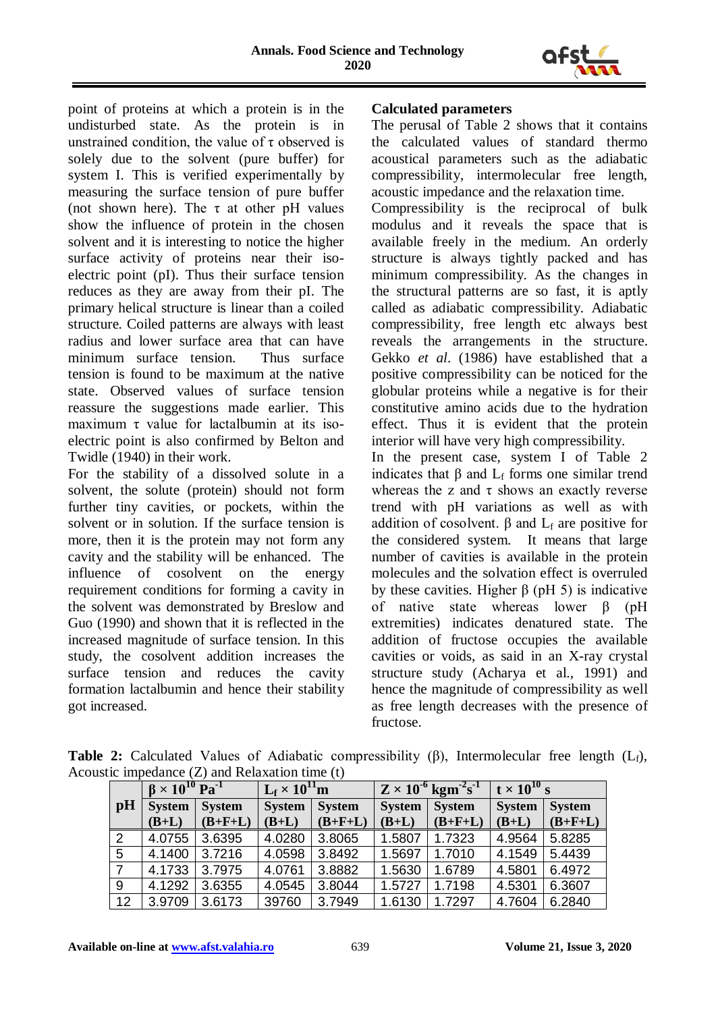

point of proteins at which a protein is in the undisturbed state. As the protein is in unstrained condition, the value of  $\tau$  observed is solely due to the solvent (pure buffer) for system I. This is verified experimentally by measuring the surface tension of pure buffer (not shown here). The  $\tau$  at other pH values show the influence of protein in the chosen solvent and it is interesting to notice the higher surface activity of proteins near their isoelectric point (pI). Thus their surface tension reduces as they are away from their pI. The primary helical structure is linear than a coiled structure. Coiled patterns are always with least radius and lower surface area that can have minimum surface tension. Thus surface tension is found to be maximum at the native state. Observed values of surface tension reassure the suggestions made earlier. This maximum  $\tau$  value for lactalbumin at its isoelectric point is also confirmed by Belton and Twidle (1940) in their work.

For the stability of a dissolved solute in a solvent, the solute (protein) should not form further tiny cavities, or pockets, within the solvent or in solution. If the surface tension is more, then it is the protein may not form any cavity and the stability will be enhanced. The influence of cosolvent on the energy requirement conditions for forming a cavity in the solvent was demonstrated by Breslow and Guo (1990) and shown that it is reflected in the increased magnitude of surface tension. In this study, the cosolvent addition increases the surface tension and reduces the cavity formation lactalbumin and hence their stability got increased.

### **Calculated parameters**

The perusal of Table 2 shows that it contains the calculated values of standard thermo acoustical parameters such as the adiabatic compressibility, intermolecular free length, acoustic impedance and the relaxation time.

Compressibility is the reciprocal of bulk modulus and it reveals the space that is available freely in the medium. An orderly structure is always tightly packed and has minimum compressibility. As the changes in the structural patterns are so fast, it is aptly called as adiabatic compressibility. Adiabatic compressibility, free length etc always best reveals the arrangements in the structure. Gekko *et al*. (1986) have established that a positive compressibility can be noticed for the globular proteins while a negative is for their constitutive amino acids due to the hydration effect. Thus it is evident that the protein interior will have very high compressibility.

In the present case, system I of Table 2 indicates that  $\beta$  and  $L_f$  forms one similar trend whereas the z and  $\tau$  shows an exactly reverse trend with pH variations as well as with addition of cosolvent.  $\beta$  and  $L_f$  are positive for the considered system. It means that large number of cavities is available in the protein molecules and the solvation effect is overruled by these cavities. Higher  $\beta$  (pH 5) is indicative of native state whereas lower β (pH extremities) indicates denatured state. The addition of fructose occupies the available cavities or voids, as said in an X-ray crystal structure study (Acharya et al., 1991) and hence the magnitude of compressibility as well as free length decreases with the presence of fructose.

|                | $\beta \times 10^{10}$ Pa <sup>-1</sup> |           |                                | $L_f \times 10^{11}$ m |               | $Z \times 10^{-6}$ kgm <sup>-2</sup> s <sup>-1</sup> | $t \times 10^{10}$ s           |           |  |
|----------------|-----------------------------------------|-----------|--------------------------------|------------------------|---------------|------------------------------------------------------|--------------------------------|-----------|--|
| $\mathbf{p}$ H | <b>System</b><br><b>System</b>          |           | <b>System</b><br><b>System</b> |                        | <b>System</b> | <b>System</b>                                        | <b>System</b><br><b>System</b> |           |  |
|                | $(B+L)$                                 | $(B+F+L)$ | $(B+L)$                        | $(B+F+L)$              | $(B+L)$       | $(B+F+L)$                                            | $(B+L)$                        | $(B+F+L)$ |  |
| 2              | 4.0755                                  | 3.6395    | 4.0280                         | 3.8065                 | 1.5807        | 1.7323                                               | 4.9564                         | 5.8285    |  |
| 5              | 4.1400                                  | 3.7216    | 4.0598                         | 3.8492                 | 1.5697        | 1.7010                                               | 4.1549                         | 5.4439    |  |
| $\overline{7}$ | 4.1733                                  | 3.7975    | 4.0761                         | 3.8882                 | 1.5630        | 1.6789                                               | 4.5801                         | 6.4972    |  |
| 9              | 4.1292                                  | 3.6355    | 4.0545                         | 3.8044                 | 1.5727        | 1.7198                                               | 4.5301                         | 6.3607    |  |
| 12             | 3.9709                                  | 3.6173    | 39760                          | 3.7949                 | 1.6130        | 1.7297                                               | 4.7604                         | 6.2840    |  |

**Table 2:** Calculated Values of Adiabatic compressibility (β), Intermolecular free length (Lf), Acoustic impedance (Z) and Relaxation time (t)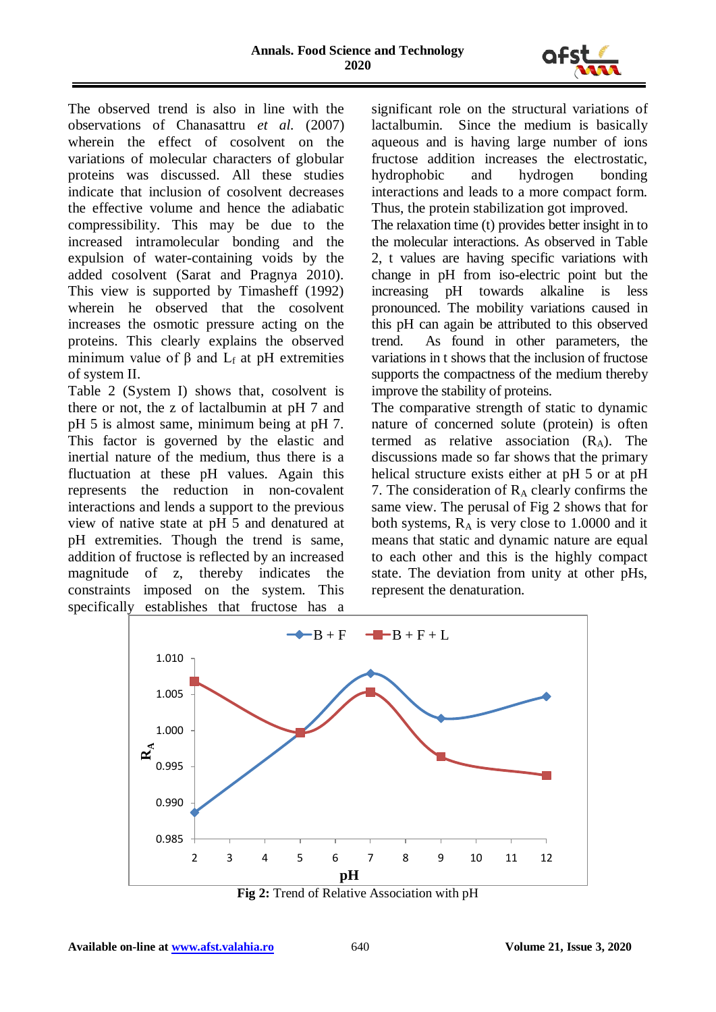

The observed trend is also in line with the observations of Chanasattru *et al.* (2007) wherein the effect of cosolvent on the variations of molecular characters of globular proteins was discussed. All these studies indicate that inclusion of cosolvent decreases the effective volume and hence the adiabatic compressibility. This may be due to the increased intramolecular bonding and the expulsion of water-containing voids by the added cosolvent (Sarat and Pragnya 2010). This view is supported by Timasheff (1992) wherein he observed that the cosolvent increases the osmotic pressure acting on the proteins. This clearly explains the observed minimum value of  $\beta$  and  $L_f$  at pH extremities of system II.

Table 2 (System I) shows that, cosolvent is there or not, the z of lactalbumin at pH 7 and pH 5 is almost same, minimum being at pH 7. This factor is governed by the elastic and inertial nature of the medium, thus there is a fluctuation at these pH values. Again this represents the reduction in non-covalent interactions and lends a support to the previous view of native state at pH 5 and denatured at pH extremities. Though the trend is same, addition of fructose is reflected by an increased magnitude of z, thereby indicates the constraints imposed on the system. This specifically establishes that fructose has a

significant role on the structural variations of lactalbumin. Since the medium is basically aqueous and is having large number of ions fructose addition increases the electrostatic, hydrophobic and hydrogen bonding interactions and leads to a more compact form. Thus, the protein stabilization got improved.

The relaxation time (t) provides better insight in to the molecular interactions. As observed in Table 2, t values are having specific variations with change in pH from iso-electric point but the increasing pH towards alkaline is less pronounced. The mobility variations caused in this pH can again be attributed to this observed trend. As found in other parameters, the variations in t shows that the inclusion of fructose supports the compactness of the medium thereby improve the stability of proteins.

The comparative strength of static to dynamic nature of concerned solute (protein) is often termed as relative association  $(R_A)$ . The discussions made so far shows that the primary helical structure exists either at pH 5 or at pH 7. The consideration of  $R_A$  clearly confirms the same view. The perusal of Fig 2 shows that for both systems,  $R_A$  is very close to 1.0000 and it means that static and dynamic nature are equal to each other and this is the highly compact state. The deviation from unity at other pHs, represent the denaturation.



**Fig 2:** Trend of Relative Association with pH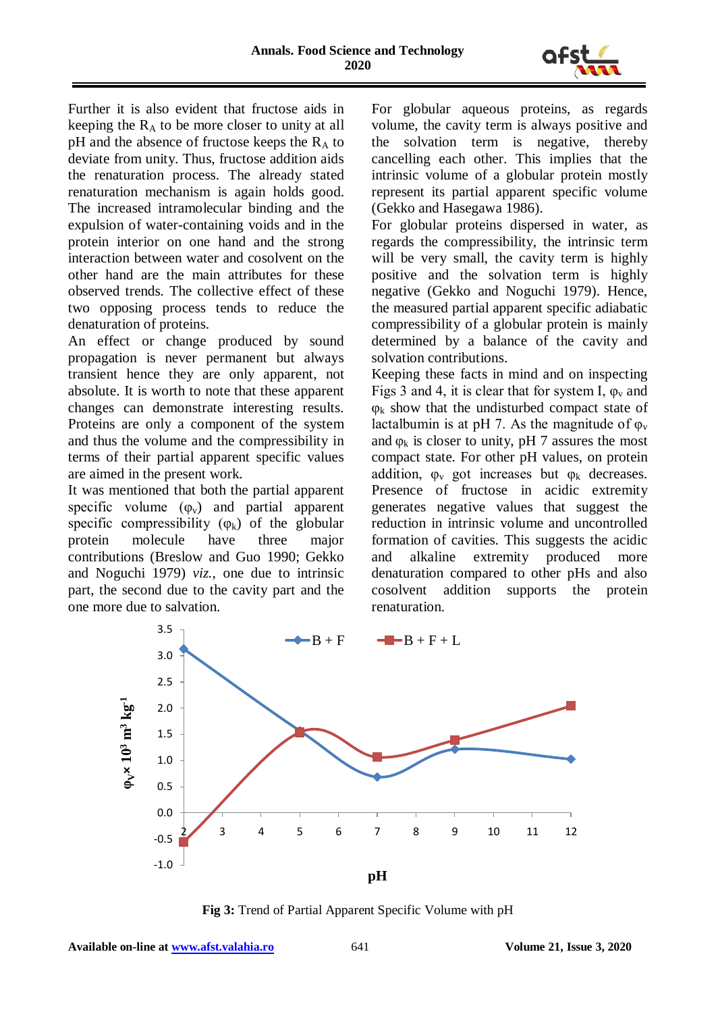

Further it is also evident that fructose aids in keeping the  $R_A$  to be more closer to unity at all pH and the absence of fructose keeps the  $R_A$  to deviate from unity. Thus, fructose addition aids the renaturation process. The already stated renaturation mechanism is again holds good. The increased intramolecular binding and the expulsion of water-containing voids and in the protein interior on one hand and the strong interaction between water and cosolvent on the other hand are the main attributes for these observed trends. The collective effect of these two opposing process tends to reduce the denaturation of proteins.

An effect or change produced by sound propagation is never permanent but always transient hence they are only apparent, not absolute. It is worth to note that these apparent changes can demonstrate interesting results. Proteins are only a component of the system and thus the volume and the compressibility in terms of their partial apparent specific values are aimed in the present work.

It was mentioned that both the partial apparent specific volume  $(\varphi_v)$  and partial apparent specific compressibility  $(\varphi_k)$  of the globular protein molecule have three major contributions (Breslow and Guo 1990; Gekko and Noguchi 1979) *viz.,* one due to intrinsic part, the second due to the cavity part and the one more due to salvation.

For globular aqueous proteins, as regards volume, the cavity term is always positive and the solvation term is negative, thereby cancelling each other. This implies that the intrinsic volume of a globular protein mostly represent its partial apparent specific volume (Gekko and Hasegawa 1986).

For globular proteins dispersed in water, as regards the compressibility, the intrinsic term will be very small, the cavity term is highly positive and the solvation term is highly negative (Gekko and Noguchi 1979). Hence, the measured partial apparent specific adiabatic compressibility of a globular protein is mainly determined by a balance of the cavity and solvation contributions.

Keeping these facts in mind and on inspecting Figs 3 and 4, it is clear that for system I,  $\varphi$ <sub>v</sub> and  $\varphi_k$  show that the undisturbed compact state of lactalbumin is at pH 7. As the magnitude of  $\varphi$ <sub>v</sub> and  $\mathbf{\omega}_k$  is closer to unity, pH 7 assures the most compact state. For other pH values, on protein addition,  $\varphi_{v}$  got increases but  $\varphi_{k}$  decreases. Presence of fructose in acidic extremity generates negative values that suggest the reduction in intrinsic volume and uncontrolled formation of cavities. This suggests the acidic and alkaline extremity produced more denaturation compared to other pHs and also cosolvent addition supports the protein renaturation.



**Fig 3:** Trend of Partial Apparent Specific Volume with pH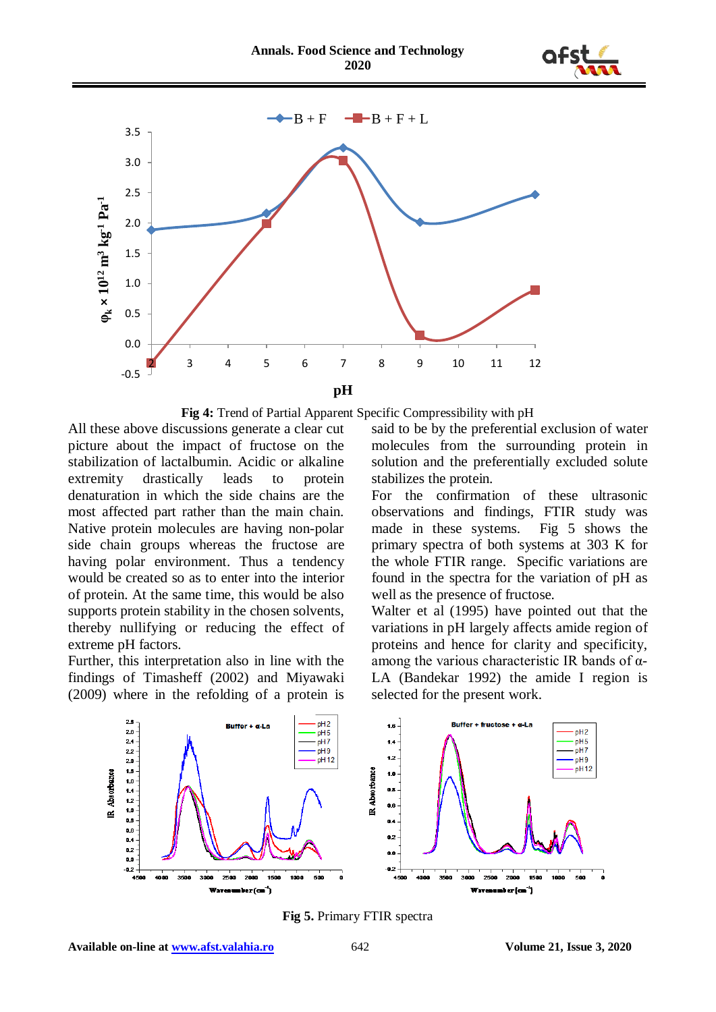





All these above discussions generate a clear cut picture about the impact of fructose on the stabilization of lactalbumin. Acidic or alkaline extremity drastically leads to protein denaturation in which the side chains are the most affected part rather than the main chain. Native protein molecules are having non-polar side chain groups whereas the fructose are having polar environment. Thus a tendency would be created so as to enter into the interior of protein. At the same time, this would be also supports protein stability in the chosen solvents, thereby nullifying or reducing the effect of extreme pH factors.

Further, this interpretation also in line with the findings of Timasheff (2002) and Miyawaki (2009) where in the refolding of a protein is said to be by the preferential exclusion of water molecules from the surrounding protein in solution and the preferentially excluded solute stabilizes the protein.

For the confirmation of these ultrasonic observations and findings, FTIR study was made in these systems. Fig 5 shows the primary spectra of both systems at 303 K for the whole FTIR range. Specific variations are found in the spectra for the variation of pH as well as the presence of fructose.

Walter et al (1995) have pointed out that the variations in pH largely affects amide region of proteins and hence for clarity and specificity, among the various characteristic IR bands of α-LA (Bandekar 1992) the amide I region is selected for the present work.



**Fig 5.** Primary FTIR spectra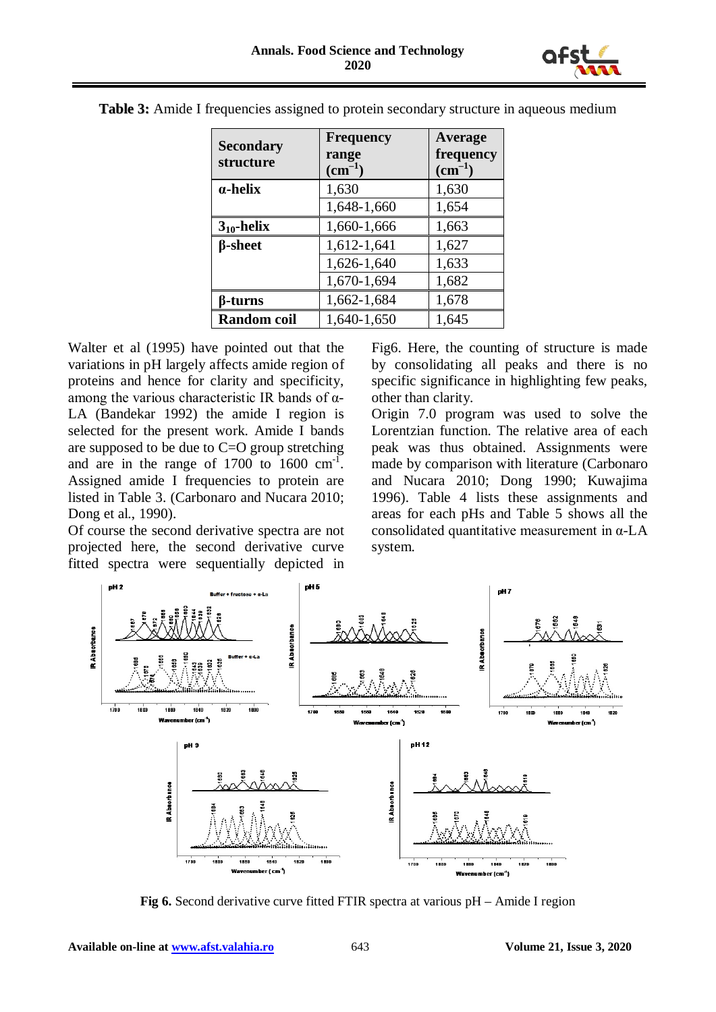

| <b>Secondary</b><br>structure | <b>Frequency</b><br>range<br>$\text{cm}^{-1}$ | Average<br>frequency<br>$\text{cm}^{-1}$ |  |  |  |
|-------------------------------|-----------------------------------------------|------------------------------------------|--|--|--|
| $\alpha$ -helix               | 1,630                                         | 1,630                                    |  |  |  |
|                               | 1,648-1,660                                   | 1,654                                    |  |  |  |
| $3_{10}$ -helix               | 1,660-1,666                                   | 1,663                                    |  |  |  |
| <b><i><u>B</u></i></b> -sheet | 1,612-1,641                                   | 1,627                                    |  |  |  |
|                               | 1,626-1,640                                   | 1,633                                    |  |  |  |
|                               | 1,670-1,694                                   | 1,682                                    |  |  |  |
| β-turns                       | 1,662-1,684                                   | 1,678                                    |  |  |  |
| <b>Random</b> coil            | 1,640-1,650                                   | 1,645                                    |  |  |  |

**Table 3:** Amide I frequencies assigned to protein secondary structure in aqueous medium

Walter et al (1995) have pointed out that the variations in pH largely affects amide region of proteins and hence for clarity and specificity, among the various characteristic IR bands of  $α$ -LA (Bandekar 1992) the amide I region is selected for the present work. Amide I bands are supposed to be due to C=O group stretching and are in the range of  $1700$  to  $1600 \text{ cm}^{-1}$ . Assigned amide I frequencies to protein are listed in Table 3. (Carbonaro and Nucara 2010; Dong et al., 1990).

Of course the second derivative spectra are not projected here, the second derivative curve fitted spectra were sequentially depicted in

Fig6. Here, the counting of structure is made by consolidating all peaks and there is no specific significance in highlighting few peaks, other than clarity.

Origin 7.0 program was used to solve the Lorentzian function. The relative area of each peak was thus obtained. Assignments were made by comparison with literature (Carbonaro and Nucara 2010; Dong 1990; Kuwajima 1996). Table 4 lists these assignments and areas for each pHs and Table 5 shows all the consolidated quantitative measurement in  $\alpha$ -LA system.



**Fig 6.** Second derivative curve fitted FTIR spectra at various pH – Amide I region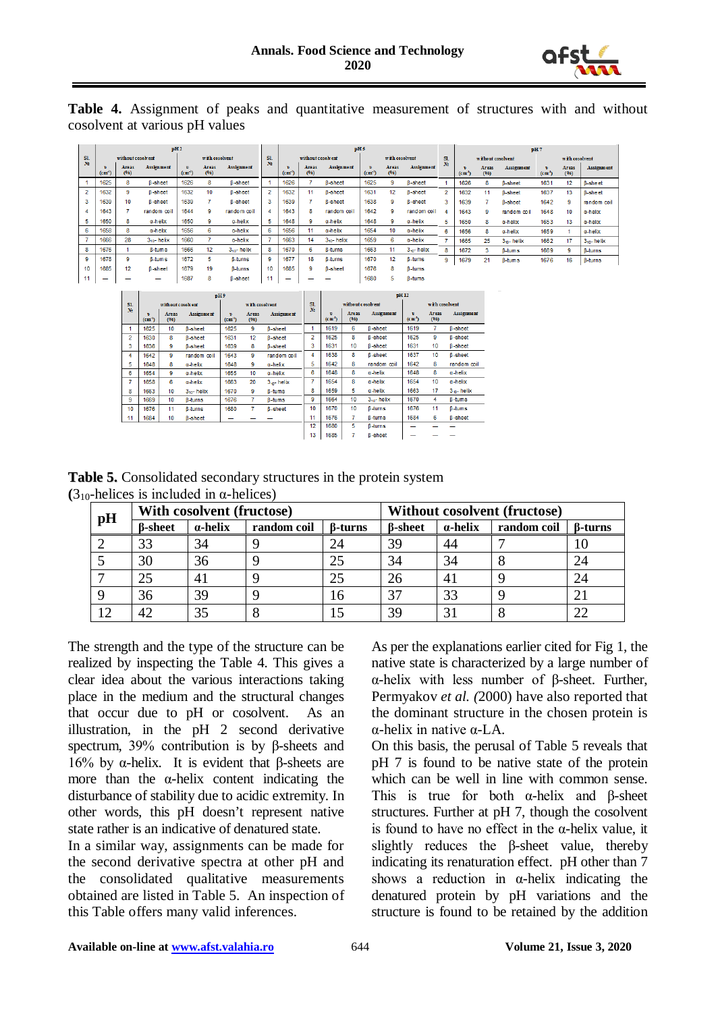

**Table 4.** Assignment of peaks and quantitative measurement of structures with and without cosolvent at various pH values

|                | pH2           |                      |                        |                |                      |                   |                | pH <sub>5</sub>   |               |                 |                  |               |                   |                |                             |                      |                   |                             | pH7                  |                   |  |
|----------------|---------------|----------------------|------------------------|----------------|----------------------|-------------------|----------------|-------------------|---------------|-----------------|------------------|---------------|-------------------|----------------|-----------------------------|----------------------|-------------------|-----------------------------|----------------------|-------------------|--|
| <b>SI.</b>     |               | without cosolvent    |                        | with cosolvent |                      | <b>S1.</b>        |                | without cosolvent |               | with cosolvent  |                  | SL            | without cosolvent |                |                             | with cosolvent       |                   |                             |                      |                   |  |
| N <sub>2</sub> | υ<br>$(cm-1)$ | <b>Areas</b><br>(96) | Assignment             | v.<br>$(cm-1)$ | <b>Areas</b><br>(96) | <b>Assignment</b> | N.             | v<br>$(cm^{-1})$  | Areas<br>(96) | Assignment      | v<br>$(cm^{-1})$ | Areas<br>(96) | <b>Assignment</b> | No.            | $\mathbf{v}$<br>$(cm^{-1})$ | <b>Areas</b><br>(96) | <b>Assignment</b> | $\mathbf{v}$<br>$(cm^{-1})$ | <b>Areas</b><br>(96) | <b>Assignment</b> |  |
|                | 1625          | 8                    | <b>B-sheet</b>         | 1626           | 8                    | <b>B-sheet</b>    |                | 1626              |               | <b>B-sheet</b>  | 1625             | 9             | <b>B-sheet</b>    |                | 1626                        | 8                    | <b>B-sheet</b>    | 1631                        | 12                   | <b>B-sheet</b>    |  |
| $\overline{2}$ | 1632          | 9                    | <b>B-sheet</b>         | 1632           | 10                   | <b>B-sheet</b>    | $\overline{2}$ | 1632              | 11            | <b>B-sheet</b>  | 1631             | 12            | <b>B-sheet</b>    | $\overline{2}$ | 1632                        | 11                   | <b>B-sheet</b>    | 1637                        | 13                   | <b>B-sheet</b>    |  |
| 3              | 1639          | 10                   | <b>B-sheet</b>         | 1639           |                      | <b>B-sheet</b>    | 3              | 1639              |               | <b>B-sheet</b>  | 1638             | 9             | <b>B-sheet</b>    | 3.             | 1639                        |                      | <b>B-sheet</b>    | 1642                        | 9                    | random coil       |  |
| 4              | 1643          |                      | random coil            | 1644           | 9                    | random coil       | 4              | 1643              | 8             | random coil     | 1642             | 9             | random coil       |                | 1643                        | 9                    | random coil       | 1648                        | 10                   | $\alpha$ -helix   |  |
|                | 1650          | 8                    | a-helix                | 1650           | 9                    | a-helix           | 5              | 1648              | 9             | a-helix         | 1648             | 9             | $a$ -helix        |                | 1650                        | 8                    | a-helix           | 1653                        | 13                   | $\alpha$ -helix   |  |
| 6              | 1658          | 8                    | a-helix                | 1656           | 6                    | a-helix           | 6              | 1656              | 11            | $\alpha$ -helix | 1654             | 10            | $\alpha$ -helix   | 6              | 1656                        | 8                    | a-helix           | 1659                        |                      | a-helix           |  |
|                | 1666          | 28                   | 3 <sub>10</sub> -helix | 1660           |                      | a-helix           |                | 1663              | 14            | $310$ - helix   | 1659             | 6             | $\alpha$ -helix   |                | 1665                        | 25                   | $3m$ -helix       | 1662                        | 17                   | $310$ - helix     |  |
| 8              | 1676          |                      | <b>B-tums</b>          | 1666           | 12                   | $310$ - helix     | 8              | 1670              | 6             | <b>B-turns</b>  | 1663             | 11            | $3m$ - helix      | 8              | 1672                        | 3                    | <b>B-tums</b>     | 1669                        | 9                    | <b>B-turns</b>    |  |
| 9              | 1678          | 9                    | <b>B-tums</b>          | 1672           | 5                    | <b>B-turns</b>    | 9              | 1677              | 18            | <b>B-turns</b>  | 1670             | 12            | <b>B-tums</b>     | 9              | 1679                        | 21                   | <b>B-tums</b>     | 1676                        | 16                   | $\beta$ -turns    |  |
| 10             | 1685          | $12^{12}$            | <b>B-sheet</b>         | 1679           | 19                   | <b>B-turns</b>    | 10             | 1685              | 9             | <b>B-sheet</b>  | 1676             | 8             | <b>B-tums</b>     |                |                             |                      |                   |                             |                      |                   |  |
| 11             | -             |                      | -                      | 1687           | 8                    | <b>B-sheet</b>    | 44             | -                 |               | -               | 1680             | 5             | $\beta$ -tums     |                |                             |                      |                   |                             |                      |                   |  |
|                |               |                      |                        |                |                      |                   |                |                   |               |                 |                  |               |                   |                |                             |                      |                   |                             |                      |                   |  |

|                | DH9               |               |                   |                   |               |                   |                | <b>pH</b> <sub>12</sub> |                   |                 |                             |                      |                   |  |  |
|----------------|-------------------|---------------|-------------------|-------------------|---------------|-------------------|----------------|-------------------------|-------------------|-----------------|-----------------------------|----------------------|-------------------|--|--|
| SI.            | without cosolvent |               |                   | with cosolvent    |               |                   | S1.            |                         | without cosolvent |                 | with cosolvent              |                      |                   |  |  |
| N.             | ъ<br>$(c m-1)$    | Areas<br>(96) | <b>Assignment</b> | b.<br>$(cm^{-1})$ | Areas<br>(96) | <b>Assignment</b> | N <sub>2</sub> | v<br>$(cm^{-1})$        | Areas<br>(96)     | Assignment      | $\mathbf{v}$<br>$(cm^{-1})$ | <b>Areas</b><br>(96) | <b>Assignment</b> |  |  |
|                | 1625              | 10            | <b>B-sheet</b>    | 1625              | 9             | <b>B-sheet</b>    |                | 1619                    | 6                 | <b>B-sheet</b>  | 1619                        | 7                    | <b>B-sheet</b>    |  |  |
| $\overline{2}$ | 1630              | 8             | <b>B-sheet</b>    | 1631              | 12            | <b>B-sheet</b>    | $\overline{2}$ | 1625                    | 8                 | <b>B-sheet</b>  | 1625                        | 9                    | <b>B-sheet</b>    |  |  |
| 3              | 1636              | 9             | <b>B-sheet</b>    | 1639              | 8             | <b>B-sheet</b>    | 3              | 1631                    | 10                | <b>B-sheet</b>  | 1631                        | 10                   | <b>B-sheet</b>    |  |  |
| 4              | 1642              | 9             | random coil       | 1643              | 9             | random coil       | 4              | 1638                    | 8                 | <b>B-sheet</b>  | 1637                        | 10                   | <b>B-sheet</b>    |  |  |
| 5              | 1648              | 8             | a-helix           | 1648              | 9             | a-helix           | 5              | 1642                    | 8                 | random coil     | 1642                        | 8                    | random coil       |  |  |
| 6              | 1654              | 9             | a-helix           | 1655              | 10            | a-helix           | 6              | 1648                    | 8                 | $\alpha$ -helix | 1648                        | 8                    | $\alpha$ -helix   |  |  |
| 7              | 1658              | 6             | a-helix           | 1663              | 20            | $3 -$ helix       | 7              | 1654                    | 8                 | $a$ -helix      | 1654                        | 10 <sup>10</sup>     | $a$ -helix        |  |  |
| 8              | 1663              | 10            | $310$ - helix     | 1670              | 9             | <b>B-tums</b>     | 8              | 1659                    | 5.                | $a$ -helix      | 1663                        | 17                   | $3 -$ helix       |  |  |
| 9              | 1669              | 10            | <b>B-turns</b>    | 1676              | 7             | <b>B-tums</b>     | 9              | 1664                    | 10                | $3on$ - helix   | 1670                        | 4                    | <b>B-tums</b>     |  |  |
| 10             | 1676              | 11            | <b>B-turns</b>    | 1680              | 7             | <b>B-sheet</b>    | 10             | 1670                    | 10                | <b>B-turns</b>  | 1676                        | 11                   | <b>B-tums</b>     |  |  |
| 11             | 1684              | 10            | <b>B-sheet</b>    |                   |               |                   | 11             | 1676                    | 7                 | <b>B-turns</b>  | 1684                        | 6                    | <b>B-sheet</b>    |  |  |
|                |                   |               |                   |                   |               |                   | 12             | 1680                    | 5                 | <b>B-turns</b>  |                             |                      |                   |  |  |
|                |                   |               |                   |                   |               |                   | 13             | 1685                    |                   | <b>B-sheet</b>  |                             |                      |                   |  |  |

**Table 5.** Consolidated secondary structures in the protein system  $(3<sub>10</sub> - helices is included in  $\alpha$ -helices)$ 

| pH |                | With cosolvent (fructose) |             |                | <b>Without cosolvent (fructose)</b> |                 |             |                |  |  |  |
|----|----------------|---------------------------|-------------|----------------|-------------------------------------|-----------------|-------------|----------------|--|--|--|
|    | <b>B-sheet</b> | $\alpha$ -helix           | random coil | <b>B-turns</b> | <b>B-sheet</b>                      | $\alpha$ -helix | random coil | <b>B-turns</b> |  |  |  |
|    | 33             | 34                        |             | 24             | 39                                  | 44              |             | 10             |  |  |  |
|    | 30             | 36                        |             | 25             | 34                                  | 34              |             | 24             |  |  |  |
|    | 25             | 41                        |             | 25             | 26                                  | 41              |             | 24             |  |  |  |
|    | 36             | 39                        |             | 16             | 37                                  | 33              |             | 21             |  |  |  |
| 12 | 42.            | 35                        |             |                | 39                                  | 31              |             | 22             |  |  |  |

The strength and the type of the structure can be realized by inspecting the Table 4. This gives a clear idea about the various interactions taking place in the medium and the structural changes that occur due to pH or cosolvent. As an illustration, in the pH 2 second derivative spectrum, 39% contribution is by β-sheets and 16% by α-helix. It is evident that β-sheets are more than the α-helix content indicating the disturbance of stability due to acidic extremity. In other words, this pH doesn't represent native state rather is an indicative of denatured state.

In a similar way, assignments can be made for the second derivative spectra at other pH and the consolidated qualitative measurements obtained are listed in Table 5. An inspection of this Table offers many valid inferences.

As per the explanations earlier cited for Fig 1, the native state is characterized by a large number of α-helix with less number of β-sheet. Further, Permyakov *et al. (*2000) have also reported that the dominant structure in the chosen protein is α-helix in native α-LA.

On this basis, the perusal of Table 5 reveals that pH 7 is found to be native state of the protein which can be well in line with common sense. This is true for both  $\alpha$ -helix and β-sheet structures. Further at pH 7, though the cosolvent is found to have no effect in the α-helix value, it slightly reduces the β-sheet value, thereby indicating its renaturation effect. pH other than 7 shows a reduction in  $\alpha$ -helix indicating the denatured protein by pH variations and the structure is found to be retained by the addition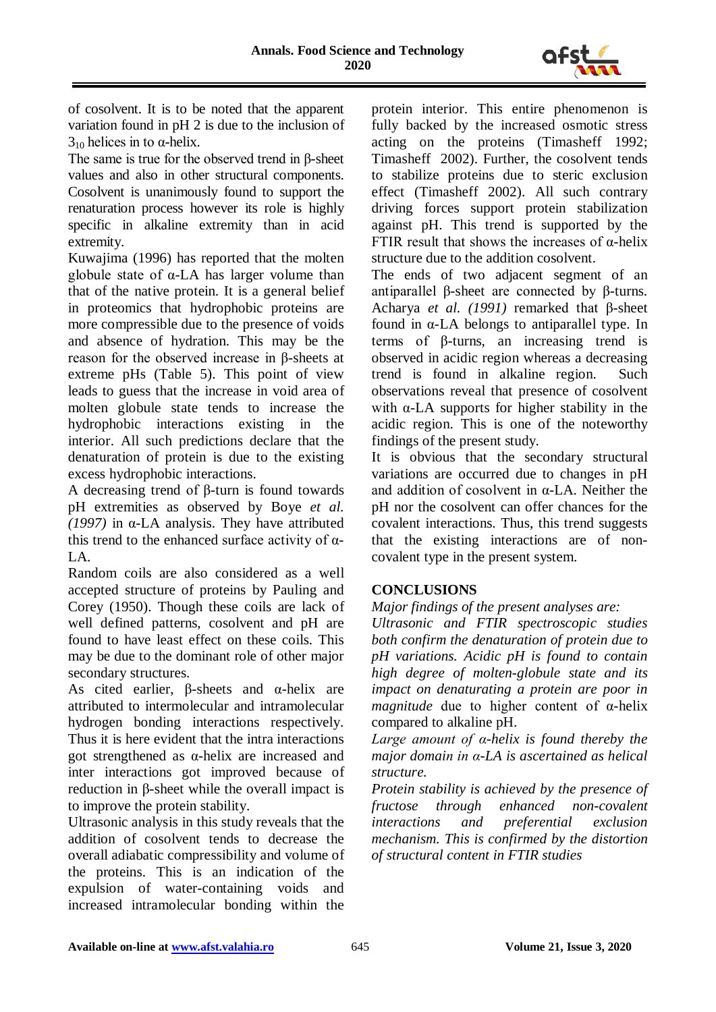

of cosolvent. It is to be noted that the apparent variation found in pH 2 is due to the inclusion of  $3<sub>10</sub>$  helices in to α-helix.

The same is true for the observed trend in β-sheet values and also in other structural components. Cosolvent is unanimously found to support the renaturation process however its role is highly specific in alkaline extremity than in acid extremity.

Kuwajima (1996) has reported that the molten globule state of α-LA has larger volume than that of the native protein. It is a general belief in proteomics that hydrophobic proteins are more compressible due to the presence of voids and absence of hydration. This may be the reason for the observed increase in β-sheets at extreme pHs (Table 5). This point of view leads to guess that the increase in void area of molten globule state tends to increase the hydrophobic interactions existing in the interior. All such predictions declare that the denaturation of protein is due to the existing excess hydrophobic interactions.

A decreasing trend of β-turn is found towards pH extremities as observed by Boye *et al. (1997)* in α-LA analysis. They have attributed this trend to the enhanced surface activity of  $\alpha$ -LA.

Random coils are also considered as a well accepted structure of proteins by Pauling and Corey (1950). Though these coils are lack of well defined patterns, cosolvent and pH are found to have least effect on these coils. This may be due to the dominant role of other major secondary structures.

As cited earlier,  $\beta$ -sheets and  $\alpha$ -helix are attributed to intermolecular and intramolecular hydrogen bonding interactions respectively. Thus it is here evident that the intra interactions got strengthened as α-helix are increased and inter interactions got improved because of reduction in β-sheet while the overall impact is to improve the protein stability.

Ultrasonic analysis in this study reveals that the addition of cosolvent tends to decrease the overall adiabatic compressibility and volume of the proteins. This is an indication of the expulsion of water-containing voids and increased intramolecular bonding within the protein interior. This entire phenomenon is fully backed by the increased osmotic stress acting on the proteins (Timasheff 1992; Timasheff 2002). Further, the cosolvent tends to stabilize proteins due to steric exclusion effect (Timasheff 2002). All such contrary driving forces support protein stabilization against pH. This trend is supported by the FTIR result that shows the increases of  $\alpha$ -helix structure due to the addition cosolvent.

The ends of two adjacent segment of an antiparallel β-sheet are connected by β-turns. Acharya *et al. (1991)* remarked that β-sheet found in α-LA belongs to antiparallel type. In terms of β-turns, an increasing trend is observed in acidic region whereas a decreasing trend is found in alkaline region. Such observations reveal that presence of cosolvent with  $\alpha$ -LA supports for higher stability in the acidic region. This is one of the noteworthy findings of the present study.

It is obvious that the secondary structural variations are occurred due to changes in pH and addition of cosolvent in α-LA. Neither the pH nor the cosolvent can offer chances for the covalent interactions. Thus, this trend suggests that the existing interactions are of noncovalent type in the present system.

# **CONCLUSIONS**

*Major findings of the present analyses are:* 

*Ultrasonic and FTIR spectroscopic studies both confirm the denaturation of protein due to pH variations. Acidic pH is found to contain high degree of molten-globule state and its impact on denaturating a protein are poor in magnitude* due to higher content of α-helix compared to alkaline pH.

*Large amount of α-helix is found thereby the major domain in α-LA is ascertained as helical structure.*

*Protein stability is achieved by the presence of fructose through enhanced non-covalent interactions and preferential exclusion mechanism. This is confirmed by the distortion of structural content in FTIR studies*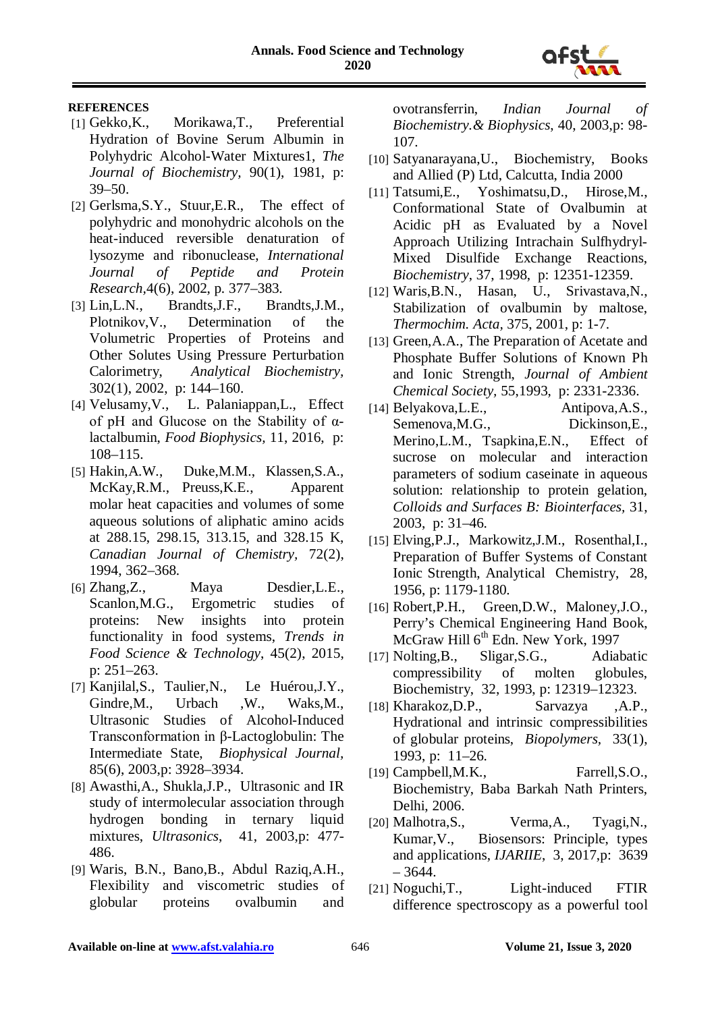

#### **REFERENCES**

- [1] Gekko,K., Morikawa,T., Preferential Hydration of Bovine Serum Albumin in Polyhydric Alcohol-Water Mixtures1, *The Journal of Biochemistry,* 90(1), 1981, p: 39–50.
- [2] Gerlsma, S.Y., Stuur, E.R., The effect of polyhydric and monohydric alcohols on the heat-induced reversible denaturation of lysozyme and ribonuclease, *International Journal of Peptide and Protein Research,*4(6), 2002, p. 377–383.
- [3] Lin,L.N., Brandts,J.F., Brandts,J.M., Plotnikov,V., Determination of the Volumetric Properties of Proteins and Other Solutes Using Pressure Perturbation Calorimetry, *Analytical Biochemistry,* 302(1), 2002, p: 144–160.
- [4] Velusamy,V., L. Palaniappan,L., Effect of pH and Glucose on the Stability of αlactalbumin, *Food Biophysics,* 11, 2016, p: 108–115.
- [5] Hakin,A.W., Duke,M.M., Klassen,S.A., McKay,R.M., Preuss,K.E., Apparent molar heat capacities and volumes of some aqueous solutions of aliphatic amino acids at 288.15, 298.15, 313.15, and 328.15 K, *Canadian Journal of Chemistry,* 72(2), 1994, 362–368.
- [6] Zhang,Z., Maya Desdier,L.E., Scanlon,M.G., Ergometric studies of proteins: New insights into protein functionality in food systems, *Trends in Food Science & Technology*, 45(2), 2015, p: 251–263.
- [7] Kanjilal,S., Taulier,N., Le Huérou,J.Y., Gindre, M., Urbach , W., Waks, M., Ultrasonic Studies of Alcohol-Induced Transconformation in β-Lactoglobulin: The Intermediate State, *Biophysical Journal,* 85(6), 2003,p: 3928–3934.
- [8] Awasthi,A., Shukla,J.P., Ultrasonic and IR study of intermolecular association through hydrogen bonding in ternary liquid mixtures, *Ultrasonics*, 41, 2003,p: 477- 486.
- [9] Waris, B.N., Bano,B., Abdul Raziq,A.H., Flexibility and viscometric studies of globular proteins ovalbumin and

ovotransferrin, *Indian Journal of Biochemistry.& Biophysics*, 40, 2003,p: 98- 107.

- [10] Satyanarayana,U., Biochemistry, Books and Allied (P) Ltd, Calcutta, India 2000
- [11] Tatsumi,E., Yoshimatsu,D., Hirose,M., Conformational State of Ovalbumin at Acidic pH as Evaluated by a Novel Approach Utilizing Intrachain Sulfhydryl-Mixed Disulfide Exchange Reactions, *Biochemistry*, 37, 1998, p: 12351-12359.
- [12] Waris,B.N., Hasan, U., Srivastava,N., Stabilization of ovalbumin by maltose, *Thermochim. Acta,* 375, 2001, p: 1-7.
- [13] Green, A.A., The Preparation of Acetate and Phosphate Buffer Solutions of Known Ph and Ionic Strength, *Journal of Ambient Chemical Society,* 55,1993, p: 2331-2336.
- [14] Belyakova,L.E., Antipova,A.S., Semenova,M.G., Dickinson,E., Merino,L.M., Tsapkina,E.N., Effect of sucrose on molecular and interaction parameters of sodium caseinate in aqueous solution: relationship to protein gelation, *Colloids and Surfaces B: Biointerfaces,* 31, 2003, p: 31–46.
- [15] Elving,P.J., Markowitz,J.M., Rosenthal,I., Preparation of Buffer Systems of Constant Ionic Strength, Analytical Chemistry, 28, 1956, p: 1179-1180.
- [16] Robert,P.H., Green,D.W., Maloney,J.O., Perry's Chemical Engineering Hand Book, McGraw Hill 6<sup>th</sup> Edn. New York, 1997
- [17] Nolting,B., Sligar,S.G., Adiabatic compressibility of molten globules, Biochemistry, 32, 1993, p: 12319–12323.
- [18] Kharakoz,D.P., Sarvazya ,A.P., Hydrational and intrinsic compressibilities of globular proteins, *Biopolymers,* 33(1), 1993, p: 11–26.
- [19] Campbell, M.K., Farrell, S.O., Biochemistry, Baba Barkah Nath Printers, Delhi, 2006.
- [20] Malhotra, S., Verma, A., Tyagi, N., Kumar,V., Biosensors: Principle, types and applications, *IJARIIE*, 3, 2017,p: 3639  $-3644.$
- [21] Noguchi,T., Light-induced FTIR difference spectroscopy as a powerful tool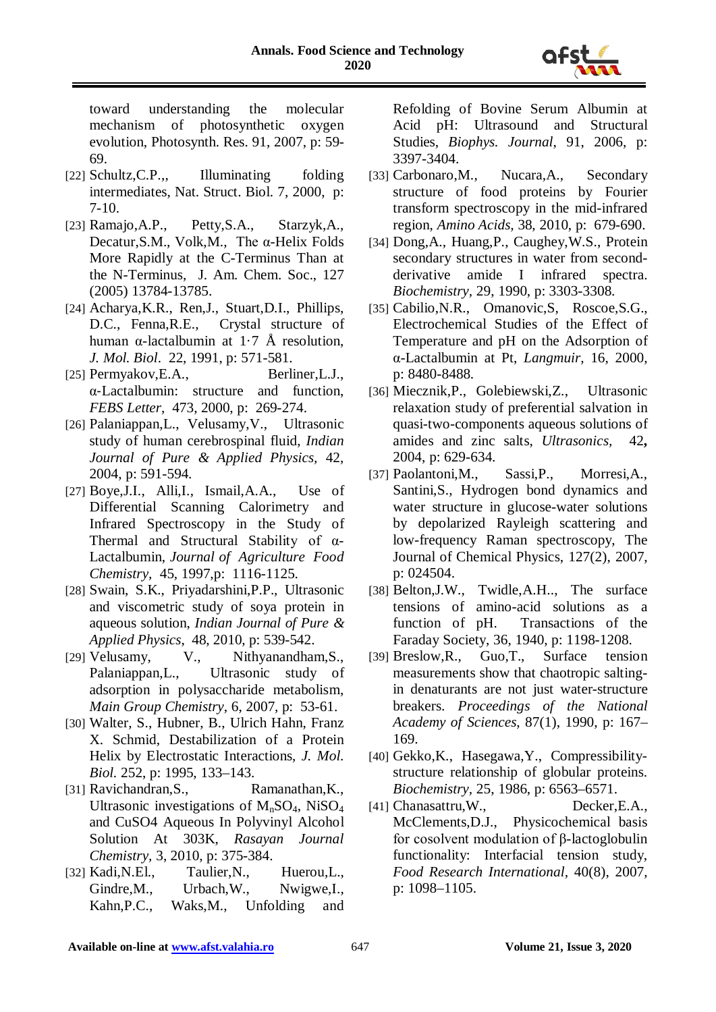

toward understanding the molecular mechanism of photosynthetic oxygen evolution, Photosynth. Res. 91, 2007, p: 59- 69.

- [22] Schultz, C.P.,, Illuminating folding intermediates, Nat. Struct. Biol. 7, 2000, p: 7-10.
- [23] Ramajo,A.P., Petty,S.A., Starzyk,A., Decatur,S.M., Volk,M., The α-Helix Folds More Rapidly at the C-Terminus Than at the N-Terminus, J. Am. Chem. Soc., 127 (2005) 13784-13785.
- [24] Acharya,K.R., Ren,J., Stuart,D.I., Phillips, D.C., Fenna, R.E., Crystal structure of human α-lactalbumin at 1.7 Å resolution, *J. Mol. Biol*. 22, 1991, p: 571-581.
- [25] Permyakov, E.A., Berliner, L.J., α‐Lactalbumin: structure and function, *FEBS Letter,* 473, 2000, p: 269-274.
- [26] Palaniappan,L., Velusamy,V., Ultrasonic study of human cerebrospinal fluid, *Indian Journal of Pure & Applied Physics,* 42, 2004, p: 591-594.
- [27] Boye,J.I., Alli,I., Ismail,A.A., Use of Differential Scanning Calorimetry and Infrared Spectroscopy in the Study of Thermal and Structural Stability of α-Lactalbumin, *Journal of Agriculture Food Chemistry,* 45, 1997,p: 1116-1125.
- [28] Swain, S.K., Priyadarshini,P.P., Ultrasonic and viscometric study of soya protein in aqueous solution, *Indian Journal of Pure & Applied Physics*, 48, 2010, p: 539-542.<br>[29] Velusamy, V., Nithyanandhai
- V., Nithyanandham, S., Palaniappan,L., Ultrasonic study of adsorption in polysaccharide metabolism, *Main Group Chemistry*, 6, 2007, p: 53-61.
- [30] Walter, S., Hubner, B., Ulrich Hahn, Franz X. Schmid, Destabilization of a Protein Helix by Electrostatic Interactions, *J. Mol. Biol.* 252, p: 1995, 133–143.
- [31] Ravichandran, S., Ramanathan, K., Ultrasonic investigations of  $M_nSO_4$ , NiSO<sub>4</sub> and CuSO4 Aqueous In Polyvinyl Alcohol Solution At 303K, *Rasayan Journal Chemistry,* 3, 2010, p: 375-384.
- [32] Kadi,N.El., Taulier,N., Huerou,L., Gindre,M., Urbach,W., Nwigwe,I., Kahn,P.C., Waks,M., Unfolding and

Refolding of Bovine Serum Albumin at Acid pH: Ultrasound and Structural Studies, *Biophys. Journal*, 91, 2006, p: 3397-3404.

- [33] Carbonaro,M., Nucara,A., Secondary structure of food proteins by Fourier transform spectroscopy in the mid-infrared region, *Amino Acids,* 38, 2010, p: 679-690.
- [34] Dong,A., Huang,P., Caughey,W.S., Protein secondary structures in water from secondderivative amide I infrared spectra. *Biochemistry,* 29, 1990, p: 3303-3308.
- [35] Cabilio, N.R., Omanovic, S, Roscoe, S.G., Electrochemical Studies of the Effect of Temperature and pH on the Adsorption of α-Lactalbumin at Pt, *Langmuir,* 16, 2000, p: 8480-8488.
- [36] Miecznik,P., Golebiewski,Z., Ultrasonic relaxation study of preferential salvation in quasi-two-components aqueous solutions of amides and zinc salts, *Ultrasonics,* 42**,**  2004, p: 629-634.
- [37] Paolantoni,M., Sassi,P., Morresi,A., Santini,S., Hydrogen bond dynamics and water structure in glucose-water solutions by depolarized Rayleigh scattering and low-frequency Raman spectroscopy, The Journal of Chemical Physics, 127(2), 2007, p: 024504.
- [38] Belton,J.W., Twidle,A.H.., The surface tensions of amino-acid solutions as a function of pH. Transactions of the Faraday Society, 36, 1940, p: 1198-1208.
- [39] Breslow,R., Guo,T., Surface tension measurements show that chaotropic saltingin denaturants are not just water-structure breakers. *Proceedings of the National Academy of Sciences*, 87(1), 1990, p: 167– 169.
- [40] Gekko,K., Hasegawa,Y., Compressibilitystructure relationship of globular proteins. *Biochemistry,* 25, 1986, p: 6563–6571.
- [41] Chanasattru,W., Decker,E.A., McClements,D.J., Physicochemical basis for cosolvent modulation of β-lactoglobulin functionality: Interfacial tension study, *Food Research International,* 40(8), 2007, p: 1098–1105.